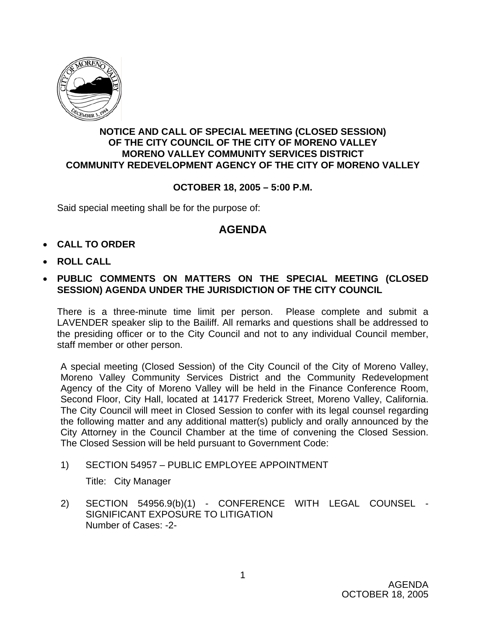

## **NOTICE AND CALL OF SPECIAL MEETING (CLOSED SESSION) OF THE CITY COUNCIL OF THE CITY OF MORENO VALLEY MORENO VALLEY COMMUNITY SERVICES DISTRICT COMMUNITY REDEVELOPMENT AGENCY OF THE CITY OF MORENO VALLEY**

## **OCTOBER 18, 2005 – 5:00 P.M.**

Said special meeting shall be for the purpose of:

## **AGENDA**

- **CALL TO ORDER**
- **ROLL CALL**
- **PUBLIC COMMENTS ON MATTERS ON THE SPECIAL MEETING (CLOSED SESSION) AGENDA UNDER THE JURISDICTION OF THE CITY COUNCIL**

There is a three-minute time limit per person. Please complete and submit a LAVENDER speaker slip to the Bailiff. All remarks and questions shall be addressed to the presiding officer or to the City Council and not to any individual Council member, staff member or other person.

A special meeting (Closed Session) of the City Council of the City of Moreno Valley, Moreno Valley Community Services District and the Community Redevelopment Agency of the City of Moreno Valley will be held in the Finance Conference Room, Second Floor, City Hall, located at 14177 Frederick Street, Moreno Valley, California. The City Council will meet in Closed Session to confer with its legal counsel regarding the following matter and any additional matter(s) publicly and orally announced by the City Attorney in the Council Chamber at the time of convening the Closed Session. The Closed Session will be held pursuant to Government Code:

1) SECTION 54957 – PUBLIC EMPLOYEE APPOINTMENT

Title: City Manager

2) SECTION 54956.9(b)(1) - CONFERENCE WITH LEGAL COUNSEL - SIGNIFICANT EXPOSURE TO LITIGATION Number of Cases: -2-